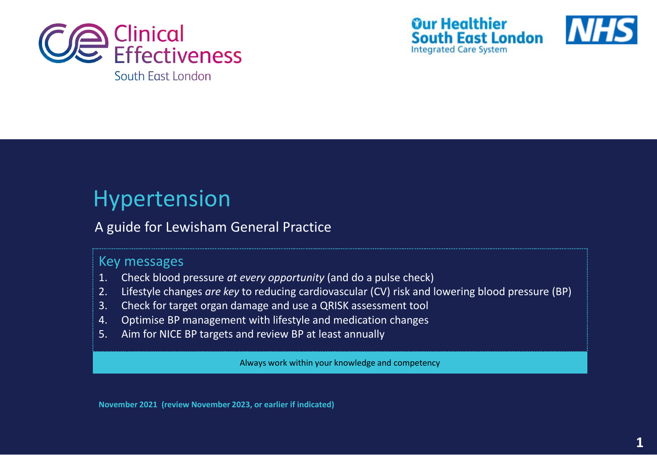





## Hypertension

### A guide for Lewisham General Practice

### Key messages

- 1. Check blood pressure *at every opportunity* (and do a pulse check)
- 2. Lifestyle changes *are key* to reducing cardiovascular (CV) risk and lowering blood pressure (BP)
- 3. Check for target organ damage and use a QRISK assessment tool
- 4. Optimise BP management with lifestyle and medication changes
- 5. Aim for NICE BP targets and review BP at least annually

Always work within your knowledge and competency

**November 2021 (review November 2023, or earlier if indicated)**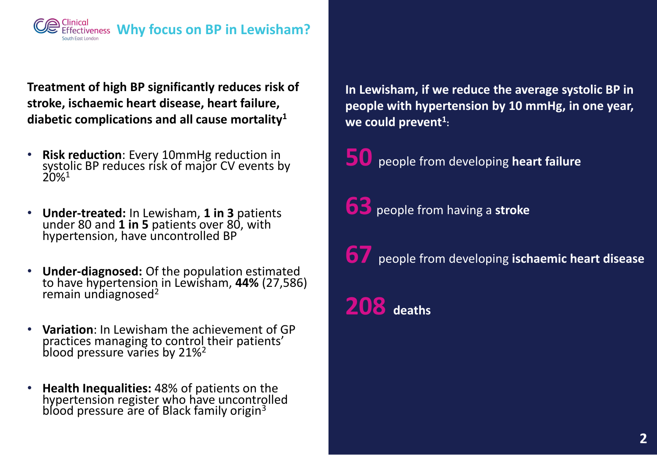

**Treatment of high BP significantly reduces risk of stroke, ischaemic heart disease, heart failure, diabetic complications and all cause mortality<sup>1</sup>**

- **Risk reduction**: Every 10mmHg reduction in systolic BP reduces risk of major CV events by 20%<sup>1</sup>
- **Under-treated:** In Lewisham, **1 in 3** patients under 80 and **1 in 5** patients over 80, with hypertension, have uncontrolled BP
- **Under-diagnosed:** Of the population estimated to have hypertension in Lewisham, **44%** (27,586) remain undiagnosed $2$
- **Variation**: In Lewisham the achievement of GP practices managing to control their patients' blood pressure varies by 21%<sup>2</sup>
- **Health Inequalities:** 48% of patients on the hypertension register who have uncontrolled blood pressure are of Black family origin<sup>3</sup>

**In Lewisham, if we reduce the average systolic BP in people with hypertension by 10 mmHg, in one year, we could prevent<sup>1</sup> :**

**50** people from developing **heart failure**

**63** people from having a **stroke**

**67** people from developing **ischaemic heart disease**

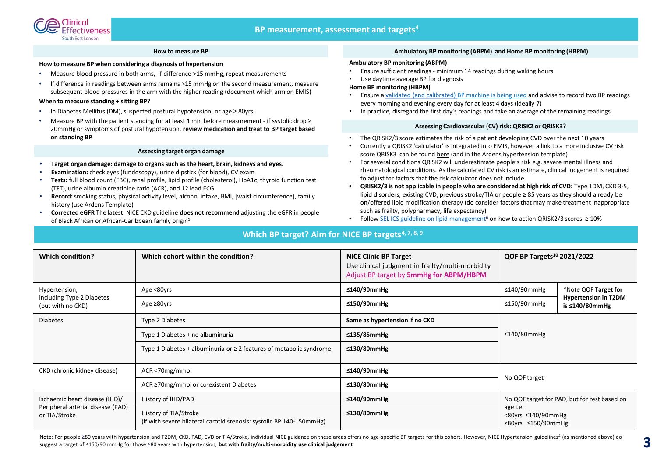#### **How to measure BP**

#### **How to measure BP when considering a diagnosis of hypertension**

- Measure blood pressure in both arms, if difference >15 mmHg, repeat measurements
- If difference in readings between arms remains >15 mmHg on the second measurement, measure subsequent blood pressures in the arm with the higher reading (document which arm on EMIS)

#### **When to measure standing + sitting BP?**

- In Diabetes Mellitus (DM), suspected postural hypotension, or age ≥ 80yrs
- Measure BP with the patient standing for at least 1 min before measurement if systolic drop  $\geq$ 20mmHg or symptoms of postural hypotension, **review medication and treat to BP target based on standing BP**

#### **Assessing target organ damage**

- **Target organ damage: damage to organs such as the heart, brain, kidneys and eyes.**
- **Examination:** check eyes (fundoscopy), urine dipstick (for blood), CV exam
- **Tests:** full blood count (FBC), renal profile, lipid profile (cholesterol), HbA1c, thyroid function test (TFT), urine albumin creatinine ratio (ACR), and 12 lead ECG
- **Record:**smoking status, physical activity level, alcohol intake, BMI, [waist circumference], family history (use Ardens Template)
- **Corrected eGFR** The latest NICE CKD guideline **does not recommend** adjusting the eGFR in people of Black African or African-Caribbean family origin<sup>5</sup>

#### **Ambulatory BP monitoring (ABPM) and Home BP monitoring (HBPM)**

#### **Ambulatory BP monitoring (ABPM)**

- Ensure sufficient readings minimum 14 readings during waking hours
- Use daytime average BP for diagnosis

#### **Home BP monitoring (HBPM)**

- Ensure a [validated \(and calibrated\) BP machine is being used](https://bihsoc.org/bp-monitors/for-home-use/) and advise to record two BP readings every morning and evening every day for at least 4 days (ideally 7)
- In practice, disregard the first day's readings and take an average of the remaining readings

#### **Assessing Cardiovascular (CV) risk: QRISK2 or QRISK3?**

- The QRISK2/3 score estimates the risk of a patient developing CVD over the next 10 years
- Currently a QRISK2 'calculator' is integrated into EMIS, however a link to a more inclusive CV risk score QRISK3 can be found [here](https://www.qrisk.org/three/) (and in the Ardens hypertension template)
- For several conditions QRISK2 will underestimate people's risk e.g. severe mental illness and rheumatological conditions. As the calculated CV risk is an estimate, clinical judgement is required to adjust for factors that the risk calculator does not include
- **QRISK2/3 is not applicable in people who are considered at high risk of CVD:** Type 1DM, CKD 3-5, lipid disorders, existing CVD, previous stroke/TIA or people ≥ 85 years as they should already be on/offered lipid modification therapy (do consider factors that may make treatment inappropriate such as frailty, polypharmacy, life expectancy)
- Follow [SEL ICS guideline on lipid management](https://selondonccg.nhs.uk/wp-content/uploads/dlm_uploads/2021/09/Lipids-management-pathways-for-South-East-London-FINAL-September-2021.pdf)<sup>6</sup> on how to action QRISK2/3 scores ≥ 10%

#### **Which BP target? Aim for NICE BP targets4, 7, 8, 9**

| <b>Which condition?</b>                                         | Which cohort within the condition?                                                            | <b>NICE Clinic BP Target</b><br>Use clinical judgment in frailty/multi-morbidity<br>Adjust BP target by 5mmHg for ABPM/HBPM | QOF BP Targets <sup>10</sup> 2021/2022                                                                                    |  |
|-----------------------------------------------------------------|-----------------------------------------------------------------------------------------------|-----------------------------------------------------------------------------------------------------------------------------|---------------------------------------------------------------------------------------------------------------------------|--|
| Hypertension,<br>including Type 2 Diabetes<br>(but with no CKD) | Age <80yrs                                                                                    | ≤140/90mmHg                                                                                                                 | $\leq$ 140/90mmHg<br>*Note QOF Target for                                                                                 |  |
|                                                                 | Age $\geq 80$ yrs                                                                             | ≤150/90mmHg                                                                                                                 | <b>Hypertension in T2DM</b><br>$\leq$ 150/90mmHg<br>is ≤140/80mmHg                                                        |  |
| <b>Diabetes</b>                                                 | Type 2 Diabetes                                                                               | Same as hypertension if no CKD                                                                                              | $\leq$ 140/80mmHg                                                                                                         |  |
|                                                                 | Type 1 Diabetes + no albuminuria                                                              | ≤135/85mmHg                                                                                                                 |                                                                                                                           |  |
|                                                                 | Type 1 Diabetes + albuminuria or $\geq$ 2 features of metabolic syndrome                      | $≤130/80mm$ Hg                                                                                                              |                                                                                                                           |  |
| CKD (chronic kidney disease)                                    | ACR <70mg/mmol                                                                                | ≤140/90mmHg                                                                                                                 | No QOF target                                                                                                             |  |
|                                                                 | ACR ≥70mg/mmol or co-existent Diabetes                                                        | ≤130/80mmHg                                                                                                                 |                                                                                                                           |  |
| Ischaemic heart disease (IHD)/                                  | History of IHD/PAD                                                                            | ≤140/90mmHg                                                                                                                 | No QOF target for PAD, but for rest based on<br>age i.e.<br>$<$ 80yrs $\leq$ 140/90mmHg<br>$\geq$ 80yrs $\leq$ 150/90mmHg |  |
| Peripheral arterial disease (PAD)<br>or TIA/Stroke              | History of TIA/Stroke<br>(if with severe bilateral carotid stenosis: systolic BP 140-150mmHg) | ≤130/80mmHg                                                                                                                 |                                                                                                                           |  |

Note: For people ≥80 years with hypertension and T2DM, CKD, PAD, CVD or TIA/Stroke, individual NICE guidance on these areas offers no age-specific BP targets for this cohort. However, NICE Hypertension guidelines<sup>4</sup> (as m suggest a target of ≤150/90 mmHg for those ≥80 years with hypertension, **but with frailty/multi-morbidity use clinical judgement**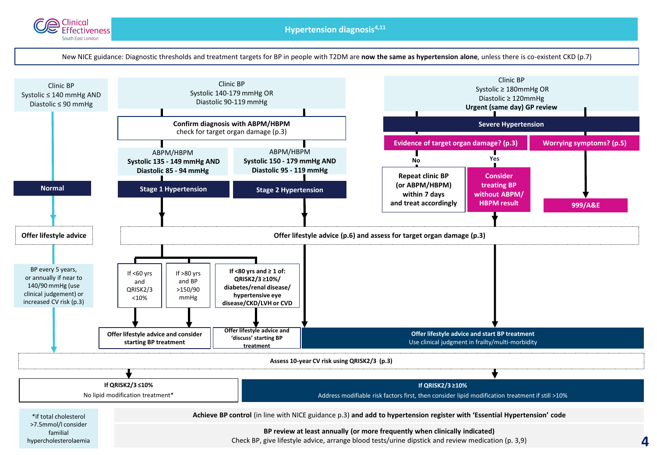

**Hypertension diagnosis4,11** 

New NICE guidance: Diagnostic thresholds and treatment targets for BP in people with T2DM are **now the same as hypertension alone**, unless there is co-existent CKD (p.7)

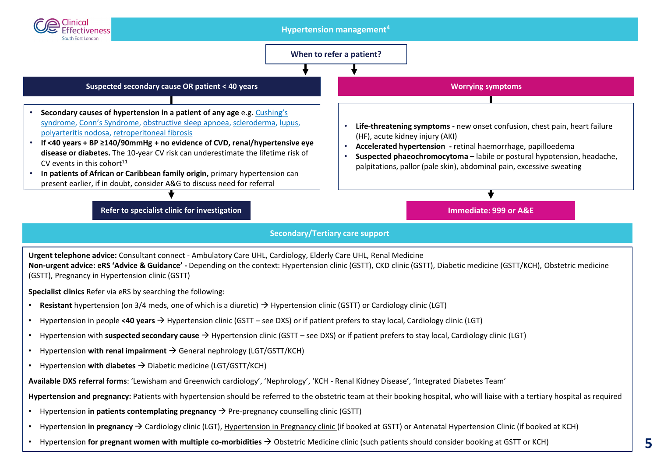

• Hypertension **for pregnant women with multiple co-morbidities** → Obstetric Medicine clinic (such patients should consider booking at GSTT or KCH)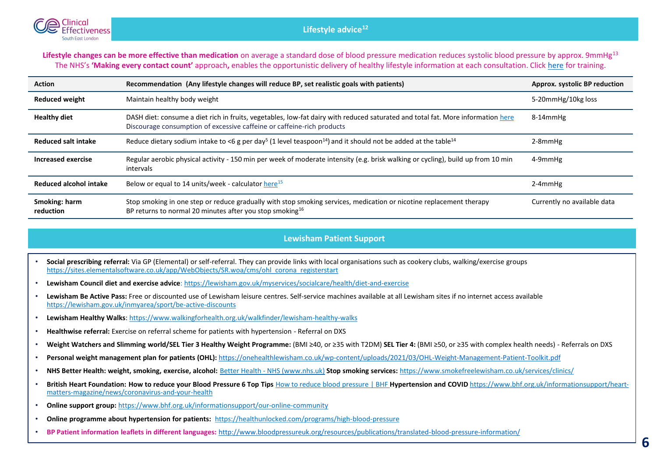

Lifestyle changes can be more effective than medication on average a standard dose of blood pressure medication reduces systolic blood pressure by approx. 9mmHg<sup>13</sup> The NHS's **'Making every contact count'** approach**,** enables the opportunistic delivery of healthy lifestyle information at each consultation. Click [here](https://www.e-lfh.org.uk/programmes/making-every-contact-count/) for training.

| <b>Action</b>              | Recommendation (Any lifestyle changes will reduce BP, set realistic goals with patients)                                                                                                                  | Approx. systolic BP reduction |
|----------------------------|-----------------------------------------------------------------------------------------------------------------------------------------------------------------------------------------------------------|-------------------------------|
| <b>Reduced weight</b>      | Maintain healthy body weight                                                                                                                                                                              | 5-20mmHg/10kg loss            |
| <b>Healthy diet</b>        | DASH diet: consume a diet rich in fruits, vegetables, low-fat dairy with reduced saturated and total fat. More information here<br>Discourage consumption of excessive caffeine or caffeine-rich products | 8-14mmHg                      |
| Reduced salt intake        | Reduce dietary sodium intake to <6 g per day <sup>5</sup> (1 level teaspoon <sup>14</sup> ) and it should not be added at the table <sup>14</sup>                                                         | 2-8mmHg                       |
| Increased exercise         | Regular aerobic physical activity - 150 min per week of moderate intensity (e.g. brisk walking or cycling), build up from 10 min<br>intervals                                                             | 4-9mmHg                       |
| Reduced alcohol intake     | Below or equal to 14 units/week - calculator here <sup>15</sup>                                                                                                                                           | $2-4$ mm $Hg$                 |
| Smoking: harm<br>reduction | Stop smoking in one step or reduce gradually with stop smoking services, medication or nicotine replacement therapy<br>BP returns to normal 20 minutes after you stop smoking <sup>16</sup>               | Currently no available data   |

#### **Lewisham Patient Support**

- **Social prescribing referral:** Via GP (Elemental) or self-referral. They can provide links with local organisations such as cookery clubs, walking/exercise groups [https://sites.elementalsoftware.co.uk/app/WebObjects/SR.woa/cms/ohl\\_corona\\_registerstart](https://sites.elementalsoftware.co.uk/app/WebObjects/SR.woa/cms/ohl_corona_registerstart)
- **Lewisham Council diet and exercise advice**: <https://lewisham.gov.uk/myservices/socialcare/health/diet-and-exercise>
- **Lewisham Be Active Pass:** Free or discounted use of Lewisham leisure centres. Self-service machines available at all Lewisham sites if no internet access available <https://lewisham.gov.uk/inmyarea/sport/be-active-discounts>
- **Lewisham Healthy Walks**: <https://www.walkingforhealth.org.uk/walkfinder/lewisham-healthy-walks>
- **Healthwise referral:** Exercise on referral scheme for patients with hypertension Referral on DXS
- **Weight Watchers and Slimming world/SEL Tier 3 Healthy Weight Programme:** (BMI ≥40, or ≥35 with T2DM) **SEL Tier 4:** (BMI ≥50, or ≥35 with complex health needs) Referrals on DXS
- **Personal weight management plan for patients (OHL):** <https://onehealthlewisham.co.uk/wp-content/uploads/2021/03/OHL-Weight-Management-Patient-Toolkit.pdf>
- **NHS Better Health: weight, smoking, exercise, alcohol:** Better Health [NHS \(www.nhs.uk\)](https://www.nhs.uk/better-health/) **Stop smoking services:** <https://www.smokefreelewisham.co.uk/services/clinics/>
- **[British Heart Foundation: How to reduce your Blood Pressure 6 Top Tips](https://www.bhf.org.uk/informationsupport/heart-matters-magazine/news/coronavirus-and-your-health)** [How to reduce blood pressure | BHF](https://www.bhf.org.uk/informationsupport/heart-matters-magazine/research/blood-pressure/blood-pressure-tips) **Hypertension and COVID** https://www.bhf.org.uk/informationsupport/heartmatters-magazine/news/coronavirus-and-your-health
- **Online support group:** <https://www.bhf.org.uk/informationsupport/our-online-community>
- **Online programme about hypertension for patients:** <https://healthunlocked.com/programs/high-blood-pressure>
- **BP Patient information leaflets in different languages:** <http://www.bloodpressureuk.org/resources/publications/translated-blood-pressure-information/>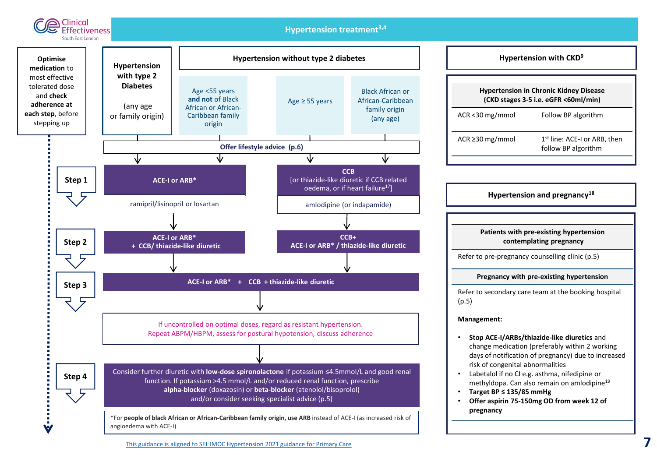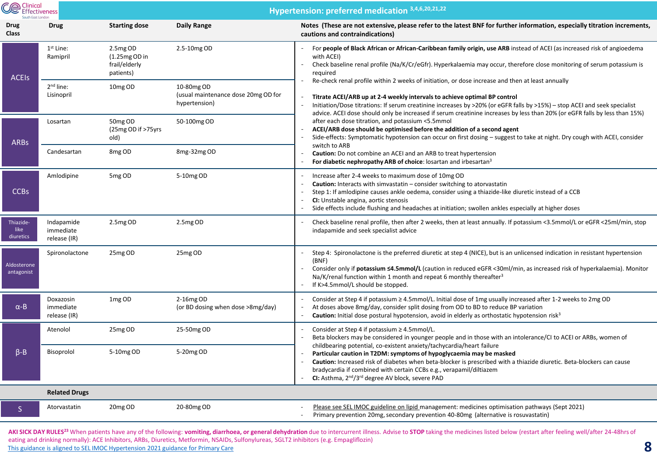| <b>Ce</b> Clinical<br>Effectiveness<br>South East London |                                         | Hypertension: preferred medication 3,4,6,20,21,22         |                                                                    |                                                                                                                                                                                                                                                                                                                                                                                                                                                                      |  |
|----------------------------------------------------------|-----------------------------------------|-----------------------------------------------------------|--------------------------------------------------------------------|----------------------------------------------------------------------------------------------------------------------------------------------------------------------------------------------------------------------------------------------------------------------------------------------------------------------------------------------------------------------------------------------------------------------------------------------------------------------|--|
| <b>Drug</b><br>Class                                     | <b>Drug</b>                             | <b>Starting dose</b>                                      | Daily Range                                                        | Notes (These are not extensive, please refer to the latest BNF for further information, especially titration increments,<br>cautions and contraindications)                                                                                                                                                                                                                                                                                                          |  |
| <b>ACEIS</b>                                             | $1st$ Line:<br>Ramipril                 | 2.5mg OD<br>$(1.25mgOD)$ in<br>frail/elderly<br>patients) | 2.5-10mg OD                                                        | For people of Black African or African-Caribbean family origin, use ARB instead of ACEI (as increased risk of angioedema<br>with ACEI)<br>Check baseline renal profile (Na/K/Cr/eGfr). Hyperkalaemia may occur, therefore close monitoring of serum potassium is<br>required                                                                                                                                                                                         |  |
|                                                          | 2 <sup>nd</sup> line:<br>Lisinopril     | 10 <sub>mg</sub> OD                                       | 10-80mg OD<br>(usual maintenance dose 20mg OD for<br>hypertension) | Re-check renal profile within 2 weeks of initiation, or dose increase and then at least annually<br>Titrate ACEI/ARB up at 2-4 weekly intervals to achieve optimal BP control<br>Initiation/Dose titrations: If serum creatinine increases by >20% (or eGFR falls by >15%) – stop ACEI and seek specialist<br>$\overline{\phantom{a}}$<br>advice. ACEI dose should only be increased if serum creatinine increases by less than 20% (or eGFR falls by less than 15%) |  |
| <b>ARBs</b>                                              | Losartan                                | 50mg OD<br>(25mg OD if >75yrs)<br>old)                    | 50-100mg OD                                                        | after each dose titration, and potassium <5.5mmol<br>ACEI/ARB dose should be optimised before the addition of a second agent<br>Side-effects: Symptomatic hypotension can occur on first dosing – suggest to take at night. Dry cough with ACEI, consider<br>switch to ARB                                                                                                                                                                                           |  |
|                                                          | Candesartan                             | 8 <sub>mg</sub> OD                                        | 8mg-32mg OD                                                        | Caution: Do not combine an ACEI and an ARB to treat hypertension<br>For diabetic nephropathy ARB of choice: losartan and irbesartan <sup>3</sup>                                                                                                                                                                                                                                                                                                                     |  |
| <b>CCBs</b>                                              | Amlodipine                              | 5mg OD                                                    | 5-10mg OD                                                          | Increase after 2-4 weeks to maximum dose of 10mg OD<br>$\overline{\phantom{a}}$<br><b>Caution:</b> Interacts with simvastatin $-$ consider switching to atorvastatin<br>Step 1: If amlodipine causes ankle oedema, consider using a thiazide-like diuretic instead of a CCB<br>CI: Unstable angina, aortic stenosis<br>Side effects include flushing and headaches at initiation; swollen ankles especially at higher doses                                          |  |
| Thiazide-<br>like<br>diuretics                           | Indapamide<br>immediate<br>release (IR) | 2.5mg OD                                                  | 2.5mg OD                                                           | Check baseline renal profile, then after 2 weeks, then at least annually. If potassium <3.5mmol/L or eGFR <25ml/min, stop<br>indapamide and seek specialist advice                                                                                                                                                                                                                                                                                                   |  |
| Aldosterone<br>antagonist                                | Spironolactone                          | 25mg OD                                                   | 25mg OD                                                            | Step 4: Spironolactone is the preferred diuretic at step 4 (NICE), but is an unlicensed indication in resistant hypertension<br>(BNF)<br>Consider only if potassium ≤4.5mmol/L (caution in reduced eGFR <30ml/min, as increased risk of hyperkalaemia). Monitor<br>Na/K/renal function within 1 month and repeat 6 monthly thereafter <sup>3</sup><br>If K>4.5mmol/L should be stopped.                                                                              |  |
| $\alpha$ -B                                              | Doxazosin<br>immediate<br>release (IR)  | 1 <sub>mg</sub> OD                                        | 2-16mg OD<br>(or BD dosing when dose >8mg/day)                     | Consider at Step 4 if potassium $\geq$ 4.5mmol/L. Initial dose of 1mg usually increased after 1-2 weeks to 2mg OD<br>At doses above 8mg/day, consider split dosing from OD to BD to reduce BP variation<br>Caution: Initial dose postural hypotension, avoid in elderly as orthostatic hypotension risk <sup>3</sup>                                                                                                                                                 |  |
| $\beta - \beta$                                          | Atenolol                                | 25mg OD                                                   | 25-50mg OD                                                         | Consider at Step 4 if potassium $\geq$ 4.5mmol/L.<br>Beta blockers may be considered in younger people and in those with an intolerance/CI to ACEI or ARBs, women of                                                                                                                                                                                                                                                                                                 |  |
|                                                          | Bisoprolol                              | 5-10mg OD                                                 | 5-20mg OD                                                          | childbearing potential, co-existent anxiety/tachycardia/heart failure<br>Particular caution in T2DM: symptoms of hypoglycaemia may be masked<br>Caution: Increased risk of diabetes when beta-blocker is prescribed with a thiazide diuretic. Beta-blockers can cause<br>bradycardia if combined with certain CCBs e.g., verapamil/diltiazem<br>CI: Asthma, 2 <sup>nd</sup> /3 <sup>rd</sup> degree AV block, severe PAD                                             |  |
|                                                          | <b>Related Drugs</b>                    |                                                           |                                                                    |                                                                                                                                                                                                                                                                                                                                                                                                                                                                      |  |
| S.                                                       | Atorvastatin                            | 20mg OD                                                   | 20-80mg OD                                                         | Please see SEL IMOC guideline on lipid management: medicines optimisation pathways (Sept 2021)<br>Primary prevention 20mg, secondary prevention 40-80mg (alternative is rosuvastatin)                                                                                                                                                                                                                                                                                |  |

AKI SICK DAY RULES<sup>23</sup> When patients have any of the following: vomiting, diarrhoea, or general dehydration due to intercurrent illness. Advise to STOP taking the medicines listed below (restart after feeling well/after 24 eating and drinking normally): ACE Inhibitors, ARBs, Diuretics, Metformin, NSAIDs, Sulfonylureas, SGLT2 inhibitors (e.g. Empagliflozin) Eating and dimking normality). ACC immotions, ANDS, Didietics, Weddefinity, WSADS, Suitonyluteas, SOLTZ immotions (e.g. Linpagnifozin)<br>[This guidance is aligned to SEL IMOC Hypertension 2021 guidance for Primary Care](https://selondonccg.nhs.uk/wp-content/uploads/dlm_uploads/2021/09/HYPERTENSION-management-guidance-FINAL-April-2021.pdf)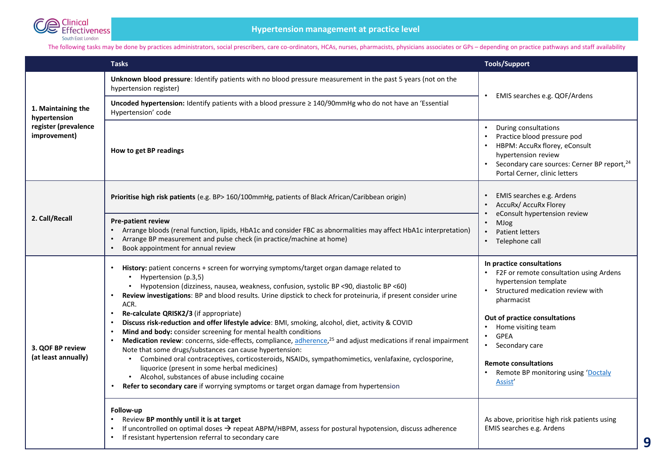

#### The following tasks may be done by practices administrators, social prescribers, care co-ordinators, HCAs, nurses, pharmacists, physicians associates or GPs - depending on practice pathways and staff availability

|                                                                            | <b>Tasks</b>                                                                                                                                                                                                                                                                                                                                                                                          | <b>Tools/Support</b>                                                                                                                                                                                      |  |
|----------------------------------------------------------------------------|-------------------------------------------------------------------------------------------------------------------------------------------------------------------------------------------------------------------------------------------------------------------------------------------------------------------------------------------------------------------------------------------------------|-----------------------------------------------------------------------------------------------------------------------------------------------------------------------------------------------------------|--|
| 1. Maintaining the<br>hypertension<br>register (prevalence<br>improvement) | Unknown blood pressure: Identify patients with no blood pressure measurement in the past 5 years (not on the<br>hypertension register)                                                                                                                                                                                                                                                                | EMIS searches e.g. QOF/Ardens<br>$\bullet$                                                                                                                                                                |  |
|                                                                            | Uncoded hypertension: Identify patients with a blood pressure ≥ 140/90mmHg who do not have an 'Essential<br>Hypertension' code                                                                                                                                                                                                                                                                        |                                                                                                                                                                                                           |  |
|                                                                            | How to get BP readings                                                                                                                                                                                                                                                                                                                                                                                | During consultations<br>$\bullet$<br>Practice blood pressure pod<br>HBPM: AccuRx florey, eConsult<br>hypertension review<br>Secondary care sources: Cerner BP report, 24<br>Portal Cerner, clinic letters |  |
| 2. Call/Recall                                                             | Prioritise high risk patients (e.g. BP> 160/100mmHg, patients of Black African/Caribbean origin)                                                                                                                                                                                                                                                                                                      | EMIS searches e.g. Ardens<br>AccuRx/ AccuRx Florey<br>eConsult hypertension review<br>MJog<br>$\bullet$<br>Patient letters<br>$\bullet$<br>• Telephone call                                               |  |
|                                                                            | Pre-patient review<br>Arrange bloods (renal function, lipids, HbA1c and consider FBC as abnormalities may affect HbA1c interpretation)<br>Arrange BP measurement and pulse check (in practice/machine at home)<br>$\bullet$<br>Book appointment for annual review                                                                                                                                     |                                                                                                                                                                                                           |  |
| 3. QOF BP review<br>(at least annually)                                    | History: patient concerns + screen for worrying symptoms/target organ damage related to<br>Hypertension (p.3,5)<br>Hypotension (dizziness, nausea, weakness, confusion, systolic BP <90, diastolic BP <60)<br>Review investigations: BP and blood results. Urine dipstick to check for proteinuria, if present consider urine<br>ACR.                                                                 | In practice consultations<br>F2F or remote consultation using Ardens<br>hypertension template<br>Structured medication review with<br>pharmacist                                                          |  |
|                                                                            | Re-calculate QRISK2/3 (if appropriate)<br>Discuss risk-reduction and offer lifestyle advice: BMI, smoking, alcohol, diet, activity & COVID<br>Mind and body: consider screening for mental health conditions<br>Medication review: concerns, side-effects, compliance, adherence, <sup>25</sup> and adjust medications if renal impairment<br>Note that some drugs/substances can cause hypertension: | Out of practice consultations<br>Home visiting team<br><b>GPEA</b><br>$\bullet$<br>Secondary care<br>$\bullet$                                                                                            |  |
|                                                                            | • Combined oral contraceptives, corticosteroids, NSAIDs, sympathomimetics, venlafaxine, cyclosporine,<br>liquorice (present in some herbal medicines)<br>• Alcohol, substances of abuse including cocaine<br>Refer to secondary care if worrying symptoms or target organ damage from hypertension                                                                                                    | <b>Remote consultations</b><br>Remote BP monitoring using 'Doctaly<br>Assist'                                                                                                                             |  |
|                                                                            | Follow-up<br>Review BP monthly until it is at target<br>If uncontrolled on optimal doses $\rightarrow$ repeat ABPM/HBPM, assess for postural hypotension, discuss adherence<br>If resistant hypertension referral to secondary care                                                                                                                                                                   | As above, prioritise high risk patients using<br>EMIS searches e.g. Ardens                                                                                                                                |  |

**9**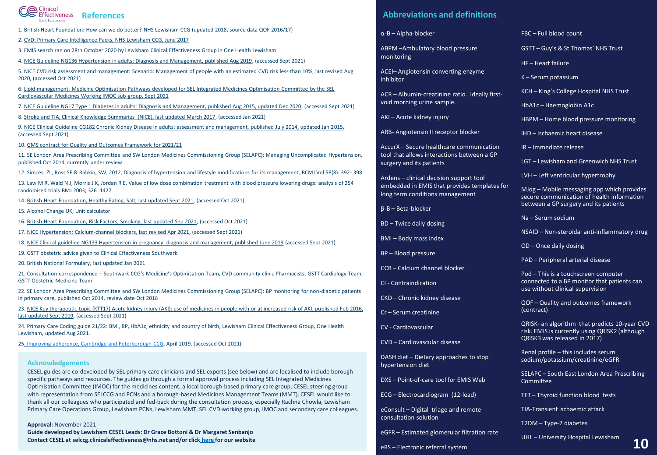#### **C**@ Clinical<br>
Effectiveness References South Fost London

- 1. British Heart Foundation: How can we do better? NHS Lewisham CCG (updated 2018, source data QOF 2016/17)
- 2. [CVD: Primary Care Intelligence Packs, NHS Lewisham CCG, June 2017](https://assets.publishing.service.gov.uk/government/uploads/system/uploads/attachment_data/file/623660/NHS_Lewisham_CCG_CVD_intelligence_pack.pdf)
- 3. EMIS search ran on 28th October 2020 by Lewisham Clinical Effectiveness Group in One Health Lewisham
- 4. [NICE Guideline NG136 Hypertension in adults: Diagnosis and Management, published Aug 2019](https://www.nice.org.uk/guidance/ng136/resources/hypertension-in-adults-diagnosis-and-management-pdf-66141722710213), (accessed Sept 2021)

5. NICE CVD risk assessment and management: Scenario: Management of people with an estimated CVD risk less than 10%, last revised Aug 2020, (accessed Oct 2021)

[6. Lipid management: Medicine Optimisation Pathways developed for SEL Integrated Medicines Optimisation Committee by the SEL](https://selondonccg.nhs.uk/wp-content/uploads/dlm_uploads/2021/09/Lipids-management-pathways-for-South-East-London-FINAL-September-2021.pdf)  Cardiovascular Medicines Working IMOC sub-group, Sept 2021

7. [NICE Guideline NG17 Type 1 Diabetes in adults: Diagnosis and Management, published Aug 2015, updated Dec 2020,](https://www.nice.org.uk/guidance/ng17/resources/type-1-diabetes-in-adults-diagnosis-and-management-pdf-1837276469701) (accessed Sept 2021)

8. [Stroke and TIA, Clinical Knowledge Summaries \(NICE\), last updated March 2017,](https://cks.nice.org.uk/topics/stroke-tia/management/secondary-prevention-following-stroke-tia/) (accessed Jan 2021)

9. [NICE Clinical Guideline CG182 Chronic Kidney Disease in adults: assessment and management, published July 2014, updated Jan 2015](https://www.nice.org.uk/guidance/cg182/resources/chronic-kidney-disease-in-adults-assessment-and-management-pdf-35109809343205), (accessed Sept 2021)

10. [GMS contract for Quality and Outcomes Framework](https://www.england.nhs.uk/wp-content/uploads/2021/03/B0456-update-on-quality-outcomes-framework-changes-for-21-22-.pdf) for 2021/21

11. SE London Area Prescribing Committee and SW London Medicines Commissioning Group (SELAPC): Managing Uncomplicated Hypertension, published Oct 2014, currently under review

12. Simces, ZL, Ross SE & Rabkin, SW, 2012, Diagnosis of hypertension and lifestyle modifications for its management, BCMJ Vol 58(8): 392- 398

13. Law M R, Wald N J, Morris J K, Jordan R E. Value of low dose combination treatment with blood pressure lowering drugs: analysis of 354 randomised trials BMJ 2003; 326 :1427

14. [British Heart Foundation, Healthy Eating, Salt, last updated Sept 2021,](https://www.bhf.org.uk/informationsupport/support/healthy-living/healthy-eating/salt) (accessed Oct 2021)

- 15. [Alcohol Change UK, Unit calculator](https://alcoholchange.org.uk/alcohol-facts/interactive-tools/unit-calculator)
- 16. [British Heart Foundation, Risk Factors, Smoking, last updated Sep 2021,](https://www.bhf.org.uk/informationsupport/risk-factors/smoking) (accessed Oct 2021)
- 17. [NICE Hypertension: Calcium-channel blockers, last revised Apr 2021,](https://cks.nice.org.uk/topics/hypertension/prescribing-information/calcium-channel-blockers/) (accessed Sept 2021)
- 18. [NICE Clinical guideline NG133 Hypertension in pregnancy: diagnosis and management, published June 2019](https://www.nice.org.uk/guidance/ng133/resources/hypertension-in-pregnancy-diagnosis-and-management-pdf-66141717671365) (accessed Sept 2021)
- 19. GSTT obstetric advice given to Clinical Effectiveness Southwark
- 20. British National Formulary, last updated Jan 2021

21. Consultation correspondence – Southwark CCG's Medicine's Optimisation Team, CVD community clinic Pharmacists, GSTT Cardiology Team, GSTT Obstetric Medicine Team

22. SE London Area Prescribing Committee and SW London Medicines Commissioning Group (SELAPC): BP monitoring for non-diabetic patients in primary care, published Oct 2014, review date Oct 2016

[23. NICE Key therapeutic topic \(KTT17\) Acute kidney injury \(AKI\): use of medicines in people with or at increased risk of AKI, published Feb 2016,](https://www.nice.org.uk/advice/KTT17/chapter/Evidence-context) last updated Sept 2019, (accessed Sept 2021)

24. Primary Care Coding guide 21/22: BMI, BP, HbA1c, ethnicity and country of birth, Lewisham Clinical Effectiveness Group, One Health Lewisham, updated Aug 2021.

25[. Improving adherence, Cambridge and Peterborough CCG](https://www.cambridgeshireandpeterboroughccg.nhs.uk/health-professionals/patient-pathways/hypertension-programme/resources-to-improve-management-of-hypertension/improving-adherence/), April 2019, (accessed Oct 2021)

#### **Acknowledgements**

CESEL guides are co-developed by SEL primary care clinicians and SEL experts (see below) and are localised to include borough specific pathways and resources. The guides go through a formal approval process including SEL Integrated Medicines Optimisation Committee (IMOC) for the medicines content, a local borough-based primary care group, CESEL steering group with representation from SELCCG and PCNs and a borough-based Medicines Management Teams (MMT). CESEL would like to thank all our colleagues who participated and fed-back during the consultation process, especially Rachna Chowla, Lewisham Primary Care Operations Group, Lewisham PCNs, Lewisham MMT, SEL CVD working group, IMOC and secondary care colleagues.

**Approval:** November 2021

**Guide developed by Lewisham CESEL Leads: Dr Grace Bottoni & Dr Margaret Senbanjo Contact CESEL at selccg.clinicaleffectiveness@nhs.net and/or click [here f](https://selondonccg.nhs.uk/covid_19/clinical-effectiveness-sel/)or our website**

#### **Abbreviations and definitions**

α-B – Alpha-blocker

ABPM –Ambulatory blood pressure monitoring

ACEI– Angiotensin converting enzyme inhibitor

ACR – Albumin-creatinine ratio. Ideally firstvoid morning urine sample.

AKI – Acute kidney injury

ARB- Angiotensin II receptor blocker

AccurX – Secure healthcare communication tool that allows interactions between a GP surgery and its patients

Ardens – clinical decision support tool embedded in EMIS that provides templates for long term conditions management

β-B – Beta-blocker

- BD Twice daily dosing
- BMI Body mass index
- BP Blood pressure
- CCB Calcium channel blocker
- CI Contraindication
- CKD Chronic kidney disease
- Cr Serum creatinine
- CV Cardiovascular
- CVD Cardiovascular disease

DASH diet – Dietary approaches to stop hypertension diet

DXS – Point-of-care tool for EMIS Web

ECG – Electrocardiogram (12-lead)

eConsult – Digital triage and remote consultation solution

eGFR – Estimated glomerular filtration rate

eRS – Electronic referral system

#### FBC – Full blood count

- GSTT Guy's & St Thomas' NHS Trust
- HF Heart failure
- K Serum potassium
- KCH King's College Hospital NHS Trust

HbA1c – Haemoglobin A1c

HBPM – Home blood pressure monitoring

IHD – Ischaemic heart disease

IR – Immediate release

LGT – Lewisham and Greenwich NHS Trust

LVH – Left ventricular hypertrophy

MJog – Mobile messaging app which provides secure communication of health information between a GP surgery and its patients

Na – Serum sodium

NSAID – Non-steroidal anti-inflammatory drug

OD – Once daily dosing

PAD – Peripheral arterial disease

Pod – This is a touchscreen computer connected to a BP monitor that patients can use without clinical supervision

QOF – Quality and outcomes framework (contract)

QRISK- an algorithm that predicts 10-year CVD risk. EMIS is currently using QRISK2 (although QRISK3 was released in 2017)

Renal profile – this includes serum sodium/potassium/creatinine/eGFR

SELAPC – South East London Area Prescribing Committee

TFT – Thyroid function blood tests

TIA-Transient ischaemic attack

T2DM – Type-2 diabetes

UHL – University Hospital Lewisham **10**